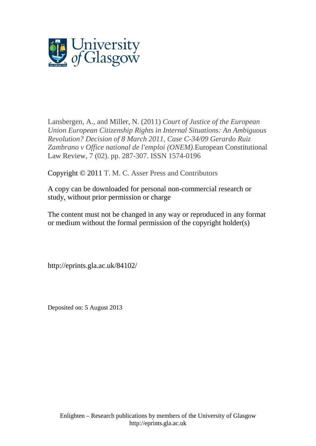

Lansbergen, A., and [Miller, N.](http://eprints.gla.ac.uk/view/author/15723.html) (2011) *Court of Justice of the European Union European Citizenship Rights in Internal Situations: An Ambiguous Revolution? Decision of 8 March 2011, Case C-34/09 Gerardo Ruiz Zambrano v Office national de l'emploi (ONEM).*[European Constitutional](http://eprints.gla.ac.uk/view/journal_volume/European_Constitutional_Law_Review.html)  [Law Review,](http://eprints.gla.ac.uk/view/journal_volume/European_Constitutional_Law_Review.html) 7 (02). pp. 287-307. ISSN 1574-0196

Copyright © 2011 T. M. C. Asser Press and Contributors

A copy can be downloaded for personal non-commercial research or study, without prior permission or charge

The content must not be changed in any way or reproduced in any format or medium without the formal permission of the copyright holder(s)

http://eprints.gla.ac.uk/84102/

Deposited on: 5 August 2013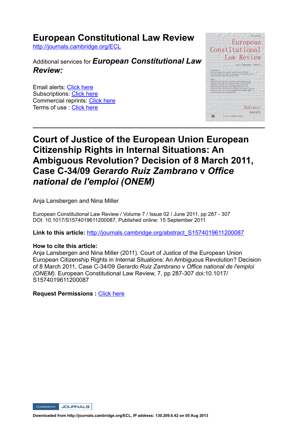## **European Constitutional Law Review**

http://journals.cambridge.org/ECL

Additional services for *European Constitutional Law Review:*

Email alerts: Click here Subscriptions: Click here Commercial reprints: Click here Terms of use : Click here



## **Court of Justice of the European Union European Citizenship Rights in Internal Situations: An Ambiguous Revolution? Decision of 8 March 2011, Case C34/09** *Gerardo Ruiz Zambrano* **v** *Office national de l'emploi (ONEM)*

Anja Lansbergen and Nina Miller

European Constitutional Law Review / Volume 7 / Issue 02 / June 2011, pp 287 - 307 DOI: 10.1017/S1574019611200087, Published online: 15 September 2011

**Link to this article:** http://journals.cambridge.org/abstract\_S1574019611200087

#### **How to cite this article:**

Anja Lansbergen and Nina Miller (2011). Court of Justice of the European Union European Citizenship Rights in Internal Situations: An Ambiguous Revolution? Decision of 8 March 2011, Case C34/09 *Gerardo Ruiz Zambrano* v *Office national de l'emploi (ONEM)*. European Constitutional Law Review, 7, pp 287-307 doi:10.1017/ S1574019611200087

**Request Permissions :** Click here



**Downloaded from http://journals.cambridge.org/ECL, IP address: 130.209.6.42 on 05 Aug 2013**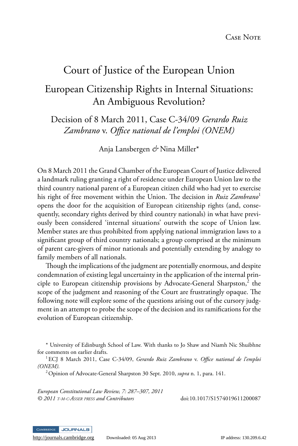# Court of Justice of the European Union

## European Citizenship Rights in Internal Situations: An Ambiguous Revolution?

Decision of 8 March 2011, Case C-34/09 *Gerardo Ruiz Zambrano* v. *Offi ce national de l'emploi (ONEM)*

Anja Lansbergen *&* Nina Miller\*

On 8 March 2011 the Grand Chamber of the European Court of Justice delivered a landmark ruling granting a right of residence under European Union law to the third country national parent of a European citizen child who had yet to exercise his right of free movement within the Union. The decision in *Ruiz Zambrano*<sup>1</sup> opens the door for the acquisition of European citizenship rights (and, consequently, secondary rights derived by third country nationals) in what have previously been considered 'internal situations' outwith the scope of Union law. Member states are thus prohibited from applying national immigration laws to a significant group of third country nationals; a group comprised at the minimum of parent care-givers of minor nationals and potentially extending by analogy to family members of all nationals.

Though the implications of the judgment are potentially enormous, and despite condemnation of existing legal uncertainty in the application of the internal principle to European citizenship provisions by Advocate-General Sharpston, $^2$  the scope of the judgment and reasoning of the Court are frustratingly opaque. The following note will explore some of the questions arising out of the cursory judgment in an attempt to probe the scope of the decision and its ramifications for the evolution of European citizenship.

\* University of Edinburgh School of Law. With thanks to Jo Shaw and Niamh Nic Shuibhne for comments on earlier drafts.

<sup>1</sup> ECJ 8 March 2011, Case C-34/09, *Gerardo Ruiz Zambrano* v. Office national de l'emploi *(ONEM).*

2 Opinion of Advocate-General Sharpston 30 Sept. 2010, *supra* n. 1, para. 141.

*European Constitutional Law Review, 7: 287–307, 2011 © 2011 T.M.C.ASSER PRESS and Contributors* doi:10.1017/S1574019611200087

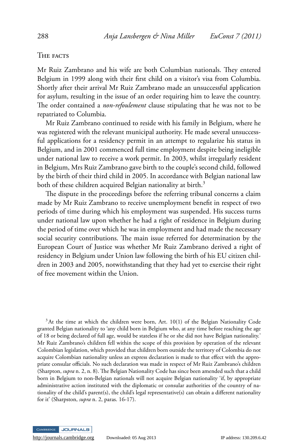## THE FACTS

Mr Ruiz Zambrano and his wife are both Columbian nationals. They entered Belgium in 1999 along with their first child on a visitor's visa from Columbia. Shortly after their arrival Mr Ruiz Zambrano made an unsuccessful application for asylum, resulting in the issue of an order requiring him to leave the country. The order contained a *non-refoulement* clause stipulating that he was not to be repatriated to Columbia.

Mr Ruiz Zambrano continued to reside with his family in Belgium, where he was registered with the relevant municipal authority. He made several unsuccessful applications for a residency permit in an attempt to regularize his status in Belgium, and in 2001 commenced full time employment despite being ineligible under national law to receive a work permit. In 2003, whilst irregularly resident in Belgium, Mrs Ruiz Zambrano gave birth to the couple's second child, followed by the birth of their third child in 2005. In accordance with Belgian national law both of these children acquired Belgian nationality at birth.<sup>3</sup>

The dispute in the proceedings before the referring tribunal concerns a claim made by Mr Ruiz Zambrano to receive unemployment benefit in respect of two periods of time during which his employment was suspended. His success turns under national law upon whether he had a right of residence in Belgium during the period of time over which he was in employment and had made the necessary social security contributions. The main issue referred for determination by the European Court of Justice was whether Mr Ruiz Zambrano derived a right of residency in Belgium under Union law following the birth of his EU citizen children in 2003 and 2005, notwithstanding that they had yet to exercise their right of free movement within the Union.

 $3$ At the time at which the children were born, Art. 10(1) of the Belgian Nationality Code granted Belgian nationality to 'any child born in Belgium who, at any time before reaching the age of 18 or being declared of full age, would be stateless if he or she did not have Belgian nationality.' Mr Ruiz Zambrano's children fell within the scope of this provision by operation of the relevant Colombian legislation, which provided that children born outside the territory of Colombia do not acquire Colombian nationality unless an express declaration is made to that effect with the appropriate consular officials. No such declaration was made in respect of Mr Ruiz Zambrano's children (Sharpton, *supra* n. 2, n. 8). The Belgian Nationality Code has since been amended such that a child born in Belgium to non-Belgian nationals will not acquire Belgian nationality 'if, by appropriate administrative action instituted with the diplomatic or consular authorities of the country of nationality of the child's parent(s), the child's legal representative(s) can obtain a different nationality for it' (Sharpston, *supra* n. 2, paras. 16-17).

**JOURNALS**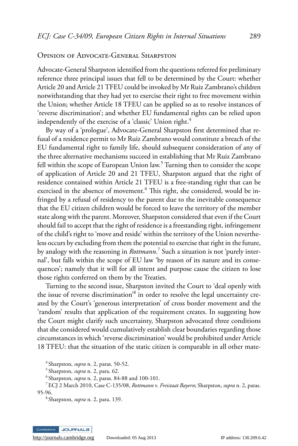#### Opinion of Advocate-General Sharpston

Advocate-General Sharpston identified from the questions referred for preliminary reference three principal issues that fell to be determined by the Court: whether Article 20 and Article 21 TFEU could be invoked by Mr Ruiz Zambrano's children notwithstanding that they had yet to exercise their right to free movement within the Union; whether Article 18 TFEU can be applied so as to resolve instances of 'reverse discrimination'; and whether EU fundamental rights can be relied upon independently of the exercise of a 'classic' Union right.<sup>4</sup>

By way of a 'prologue', Advocate-General Sharpston first determined that refusal of a residence permit to Mr Ruiz Zambrano would constitute a breach of the EU fundamental right to family life, should subsequent consideration of any of the three alternative mechanisms succeed in establishing that Mr Ruiz Zambrano fell within the scope of European Union law.<sup>5</sup> Turning then to consider the scope of application of Article 20 and 21 TFEU, Sharpston argued that the right of residence contained within Article 21 TFEU is a free-standing right that can be exercised in the absence of movement.<sup>6</sup> This right, she considered, would be infringed by a refusal of residency to the parent due to the inevitable consequence that the EU citizen children would be forced to leave the territory of the member state along with the parent. Moreover, Sharpston considered that even if the Court should fail to accept that the right of residence is a freestanding right, infringement of the child's right to 'move and reside' within the territory of the Union nevertheless occurs by excluding from them the potential to exercise that right in the future, by analogy with the reasoning in *Rottmann*.<sup>7</sup> Such a situation is not 'purely internal', but falls within the scope of EU law 'by reason of its nature and its consequences'; namely that it will for all intent and purpose cause the citizen to lose those rights conferred on them by the Treaties.

Turning to the second issue, Sharpston invited the Court to 'deal openly with the issue of reverse discrimination<sup>'8</sup> in order to resolve the legal uncertainty created by the Court's 'generous interpretation' of cross border movement and the 'random' results that application of the requirement creates. In suggesting how the Court might clarify such uncertainty, Sharpston advocated three conditions that she considered would cumulatively establish clear boundaries regarding those circumstances in which 'reverse discrimination' would be prohibited under Article 18 TFEU: that the situation of the static citizen is comparable in all other mate-

4 Sharpston, *supra* n. 2, paras. 50-52.

5 Sharpston, *supra* n. 2, para. 62.

7 ECJ 2 March 2010, Case C-135/08, *Rottmann* v. *Freistaat Bayern*; Sharpston, *supra* n. 2, paras. 95-96.

8 Sharpston, *supra* n. 2, para. 139.



<sup>6</sup> Sharpston, *supra* n. 2, paras. 84-88 and 100-101.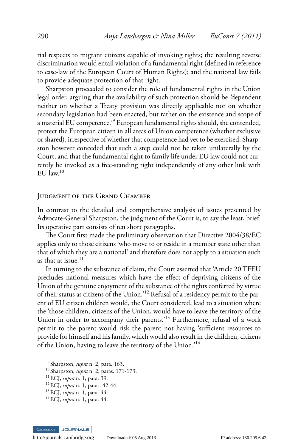rial respects to migrant citizens capable of invoking rights; the resulting reverse discrimination would entail violation of a fundamental right (defined in reference to case-law of the European Court of Human Rights); and the national law fails to provide adequate protection of that right.

Sharpston proceeded to consider the role of fundamental rights in the Union legal order, arguing that the availability of such protection should be *'*dependent neither on whether a Treaty provision was directly applicable nor on whether secondary legislation had been enacted, but rather on the existence and scope of a material EU competence.'9 European fundamental rights should, she contended, protect the European citizen in all areas of Union competence (whether exclusive or shared), irrespective of whether that competence had yet to be exercised. Sharpston however conceded that such a step could not be taken unilaterally by the Court, and that the fundamental right to family life under EU law could not currently be invoked as a free-standing right independently of any other link with EU law. $10$ 

#### Judgment of the Grand Chamber

In contrast to the detailed and comprehensive analysis of issues presented by Advocate-General Sharpston, the judgment of the Court is, to say the least, brief. Its operative part consists of ten short paragraphs.

The Court first made the preliminary observation that Directive 2004/38/EC applies only to those citizens 'who move to or reside in a member state other than that of which they are a national' and therefore does not apply to a situation such as that at issue.<sup>11</sup>

In turning to the substance of claim, the Court asserted that 'Article 20 TFEU precludes national measures which have the effect of depriving citizens of the Union of the genuine enjoyment of the substance of the rights conferred by virtue of their status as citizens of the Union.'12 Refusal of a residency permit to the parent of EU citizen children would, the Court considered, lead to a situation where the 'those children, citizens of the Union, would have to leave the territory of the Union in order to accompany their parents.'<sup>13</sup> Furthermore, refusal of a work permit to the parent would risk the parent not having 'sufficient resources to provide for himself and his family, which would also result in the children, citizens of the Union, having to leave the territory of the Union.<sup>'14</sup>

 9 Sharpston, *supra* n. 2, para. 163. 10 Sharpston, *supra* n. 2, paras. 171-173. 11 ECJ, *supra* n. 1, para. 39. 12 ECJ, *supra* n. 1, paras. 42-44. 13 ECJ, *supra* n. 1, para. 44. 14 ECJ, *supra* n. 1, para. 44.

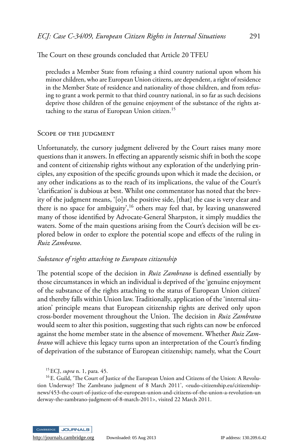The Court on these grounds concluded that Article 20 TFEU

precludes a Member State from refusing a third country national upon whom his minor children, who are European Union citizens, are dependent, a right of residence in the Member State of residence and nationality of those children, and from refusing to grant a work permit to that third country national, in so far as such decisions deprive those children of the genuine enjoyment of the substance of the rights attaching to the status of European Union citizen.<sup>15</sup>

### SCOPE OF THE JUDGMENT

Unfortunately, the cursory judgment delivered by the Court raises many more questions than it answers. In effecting an apparently seismic shift in both the scope and content of citizenship rights without any exploration of the underlying principles, any exposition of the specific grounds upon which it made the decision, or any other indications as to the reach of its implications, the value of the Court's 'clarification' is dubious at best. Whilst one commentator has noted that the brevity of the judgment means, '[o]n the positive side, [that] the case is very clear and there is no space for ambiguity', $16$  others may feel that, by leaving unanswered many of those identified by Advocate-General Sharpston, it simply muddies the waters. Some of the main questions arising from the Court's decision will be explored below in order to explore the potential scope and effects of the ruling in *Ruiz Zambrano*.

### *Substance of rights attaching to European citizenship*

The potential scope of the decision in *Ruiz Zambrano* is defined essentially by those circumstances in which an individual is deprived of the 'genuine enjoyment of the substance of the rights attaching to the status of European Union citizen' and thereby falls within Union law. Traditionally, application of the 'internal situation' principle means that European citizenship rights are derived only upon cross-border movement throughout the Union. The decision in *Ruiz Zambrano* would seem to alter this position, suggesting that such rights can now be enforced against the home member state in the absence of movement. Whether *Ruiz Zambrano* will achieve this legacy turns upon an interpretation of the Court's finding of deprivation of the substance of European citizenship; namely, what the Court

15 ECJ, *supra* n. 1, para. 45.

<sup>16</sup> E. Guild, 'The Court of Justice of the European Union and Citizens of the Union: A Revolution Underway? The Zambrano judgment of 8 March 2011', <eudo-citizenship.eu/citizenshipnews/453-the-court-of-justice-of-the-european-union-and-citizens-of-the-union-a-revolution-un derway-the-zambrano-judgment-of-8-march-2011>, visited 22 March 2011.

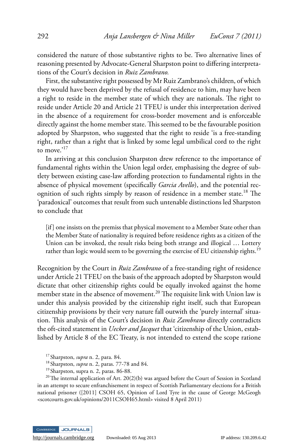considered the nature of those substantive rights to be. Two alternative lines of reasoning presented by Advocate-General Sharpston point to differing interpretations of the Court's decision in *Ruiz Zambrano.*

First, the substantive right possessed by Mr Ruiz Zambrano's children, of which they would have been deprived by the refusal of residence to him, may have been a right to reside in the member state of which they are nationals. The right to reside under Article 20 and Article 21 TFEU is under this interpretation derived in the absence of a requirement for cross-border movement and is enforceable directly against the home member state. This seemed to be the favourable position adopted by Sharpston, who suggested that the right to reside 'is a free-standing right, rather than a right that is linked by some legal umbilical cord to the right to move.'<sup>17</sup>

In arriving at this conclusion Sharpston drew reference to the importance of fundamental rights within the Union legal order, emphasising the degree of subtlety between existing case-law affording protection to fundamental rights in the absence of physical movement (specifically *Garcia Avello*), and the potential recognition of such rights simply by reason of residence in a member state.<sup>18</sup> The 'paradoxical' outcomes that result from such untenable distinctions led Sharpston to conclude that

[if] one insists on the premiss that physical movement to a Member State other than the Member State of nationality is required before residence rights as a citizen of the Union can be invoked, the result risks being both strange and illogical … Lottery rather than logic would seem to be governing the exercise of EU citizenship rights.<sup>19</sup>

Recognition by the Court in *Ruiz Zambrano* of a free-standing right of residence under Article 21 TFEU on the basis of the approach adopted by Sharpston would dictate that other citizenship rights could be equally invoked against the home member state in the absence of movement.<sup>20</sup> The requisite link with Union law is under this analysis provided by the citizenship right itself, such that European citizenship provisions by their very nature fall outwith the 'purely internal' situation. This analysis of the Court's decision in *Ruiz Zambrano* directly contradicts the oft-cited statement in *Uecker and Jacquet* that 'citizenship of the Union, established by Article 8 of the EC Treaty, is not intended to extend the scope ratione

<sup>19</sup> Sharpston, supra n. 2, paras. 86-88.

 $20$ <sup>20</sup> The internal application of Art. 20(2)(b) was argued before the Court of Session in Scotland in an attempt to secure enfranchisement in respect of Scottish Parliamentary elections for a British national prisoner ([2011] CSOH 65, Opinion of Lord Tyre in the cause of George McGeogh <scotcourts.gov.uk/opinions/2011CSOH65.html> visited 8 April 2011)

JOURNALS

<sup>17</sup> Sharpston, *supra* n. 2, para. 84.

<sup>18</sup> Sharpston, *supra* n. 2, paras. 77-78 and 84.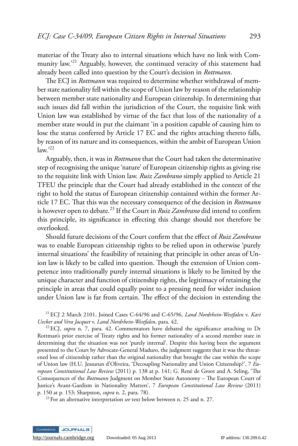materiae of the Treaty also to internal situations which have no link with Community law.'21 Arguably, however, the continued veracity of this statement had already been called into question by the Court's decision in *Rottmann*.

The ECJ in *Rottmann* was required to determine whether withdrawal of member state nationality fell within the scope of Union law by reason of the relationship between member state nationality and European citizenship. In determining that such issues did fall within the jurisdiction of the Court, the requisite link with Union law was established by virtue of the fact that loss of the nationality of a member state would in put the claimant 'in a position capable of causing him to lose the status conferred by Article 17 EC and the rights attaching thereto falls, by reason of its nature and its consequences, within the ambit of European Union  $law'$ <sup>22</sup>

Arguably, then, it was in *Rottmann* that the Court had taken the determinative step of recognising the unique 'nature' of European citizenship rights as giving rise to the requisite link with Union law. *Ruiz Zambrano* simply applied to Article 21 TFEU the principle that the Court had already established in the context of the right to hold the status of European citizenship contained within the former Article 17 EC. That this was the necessary consequence of the decision in *Rottmann* is however open to debate.<sup>23</sup> If the Court in *Ruiz Zambrano* did intend to confirm this principle, its significance in effecting this change should not therefore be overlooked.

Should future decisions of the Court confirm that the effect of *Ruiz Zambrano* was to enable European citizenship rights to be relied upon in otherwise 'purely internal situations' the feasibility of retaining that principle in other areas of Union law is likely to be called into question. Though the extension of Union competence into traditionally purely internal situations is likely to be limited by the unique character and function of citizenship rights, the legitimacy of retaining the principle in areas that could equally point to a pressing need for wider inclusion under Union law is far from certain. The effect of the decision in extending the

21 ECJ 2 March 2101, Joined Cases C-64/96 and C-65/96, *Land Nordrhein-Westfalen* v. *Kari Uecker and Vera Jacquet* v. *Land Nordrhein-Westfalen*, para. 42.

<sup>22</sup> ECJ, *supra* n. 7, para. 42. Commentators have debated the significance attaching to Dr Rottman's prior exercise of Treaty rights and his former nationality of a second member state in determining that the situation was not 'purely internal'. Despite this having been the argument presented to the Court by Advocate-General Maduro, the judgment suggests that it was the threatened loss of citizenship rather than the original nationality that brought the case within the scope of Union law (H.U. Jessurun d'Oliveira, 'Decoupling Nationality and Union Citizenship?', 7 *European Constitutional Law Review* (2011) p. 138 at p. 141; G. René de Groot and A. Seling, 'The Consequences of the *Rottmann* Judgment on Member State Autonomy - The European Court of Justice's Avant-Gardism in Nationality Matters', 7 *European Constitutional Law Review* (2011) p. 150 at p. 153; Sharpston, *supra* n. 2, para. 78).

23 For an alternative interpretation *see* text below between n. 25 and n. 27.

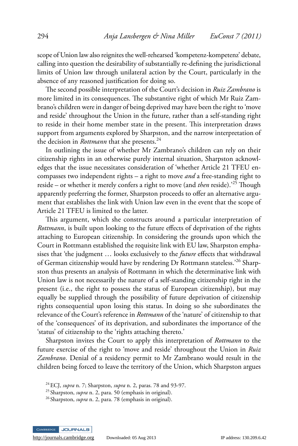scope of Union law also reignites the well-rehearsed 'kompetenz-kompetenz' debate, calling into question the desirability of substantially re-defining the jurisdictional limits of Union law through unilateral action by the Court, particularly in the absence of any reasoned justification for doing so.

The second possible interpretation of the Court's decision in *Ruiz Zambrano* is more limited in its consequences. The substantive right of which Mr Ruiz Zambrano's children were in danger of being deprived may have been the right to 'move and reside' throughout the Union in the future, rather than a self-standing right to reside in their home member state in the present. This interpretation draws support from arguments explored by Sharpston, and the narrow interpretation of the decision in *Rottmann* that she presents.<sup>24</sup>

In outlining the issue of whether Mr Zambrano's children can rely on their citizenship rights in an otherwise purely internal situation, Sharpston acknowledges that the issue necessitates consideration of 'whether Article 21 TFEU encompasses two independent rights – a right to move *and* a free-standing right to reside – or whether it merely confers a right to move (and *then* reside).<sup>25</sup> Though apparently preferring the former, Sharpston proceeds to offer an alternative argument that establishes the link with Union law even in the event that the scope of Article 21 TFEU is limited to the latter.

This argument, which she constructs around a particular interpretation of *Rottmann*, is built upon looking to the future effects of deprivation of the rights attaching to European citizenship. In considering the grounds upon which the Court in Rottmann established the requisite link with EU law, Sharpston emphasises that 'the judgment ... looks exclusively to the *future* effects that withdrawal of German citizenship would have by rendering Dr Rottmann stateless.<sup>'26</sup> Sharpston thus presents an analysis of Rottmann in which the determinative link with Union law is not necessarily the nature of a self-standing citizenship right in the present (i.e., the right to possess the status of European citizenship), but may equally be supplied through the possibility of future deprivation of citizenship rights consequential upon losing this status. In doing so she subordinates the relevance of the Court's reference in *Rottmann* of the 'nature' of citizenship to that of the 'consequences' of its deprivation, and subordinates the importance of the 'status' of citizenship to the 'rights attaching thereto.'

Sharpston invites the Court to apply this interpretation of *Rottmann* to the future exercise of the right to 'move and reside' throughout the Union in *Ruiz Zambrano*. Denial of a residency permit to Mr Zambrano would result in the children being forced to leave the territory of the Union, which Sharpston argues

JOURNALS

<sup>24</sup> ECJ, *supra* n. 7; Sharpston, *supra* n. 2, paras. 78 and 93-97.

<sup>25</sup> Sharpston, *supra* n. 2, para. 50 (emphasis in original).

<sup>26</sup> Sharpston, *supra* n. 2, para. 78 (emphasis in original).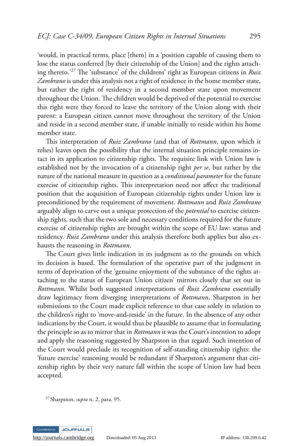'would, in practical terms, place [them] in a 'position capable of causing them to lose the status conferred [by their citizenship of the Union] and the rights attaching thereto.<sup>'27</sup> The 'substance' of the childrens' right as European citizens in *Ruiz Zambrano* is under this analysis not a right of residence in the home member state, but rather the right of residency in a second member state upon movement throughout the Union. The children would be deprived of the potential to exercise this right were they forced to leave the territory of the Union along with their parent: a European citizen cannot move throughout the territory of the Union and reside in a second member state, if unable initially to reside within his home member state.

This interpretation of *Ruiz Zambrano* (and that of *Rottmann*, upon which it relies) leaves open the possibility that the internal situation principle remains intact in its application to citizenship rights. The requisite link with Union law is established not by the invocation of a citizenship right *per se*, but rather by the nature of the national measure in question as a *conditional parameter* for the future exercise of citizenship rights. This interpretation need not affect the traditional position that the acquisition of European citizenship rights under Union law is preconditioned by the requirement of movement. *Rottmann* and *Ruiz Zambrano* arguably align to carve out a unique protection of the *potential* to exercise citizenship rights, such that the two sole and necessary conditions required for the future exercise of citizenship rights are brought within the scope of EU law: status and residency. *Ruiz Zambrano* under this analysis therefore both applies but also exhausts the reasoning in *Rottmann*.

The Court gives little indication in its judgment as to the grounds on which its decision is based. The formulation of the operative part of the judgment in terms of deprivation of the 'genuine enjoyment of the substance of the rights attaching to the status of European Union citizen' mirrors closely that set out in *Rottmann*. Whilst both suggested interpretations of *Ruiz Zambrano* essentially draw legitimacy from diverging interpretations of *Rottmann*, Sharpston in her submissions to the Court made explicit reference to that case solely in relation to the children's right to 'move-and-reside' in the future. In the absence of any other indications by the Court, it would thus be plausible to assume that in formulating the principle so as to mirror that in *Rottmann* it was the Court's intention to adopt and apply the reasoning suggested by Sharpston in that regard. Such intention of the Court would preclude its recognition of self-standing citizenship rights: the 'future exercise' reasoning would be redundant if Sharpston's argument that citizenship rights by their very nature fall within the scope of Union law had been accepted.

27 Sharpston, *supra* n. 2, para. 95.

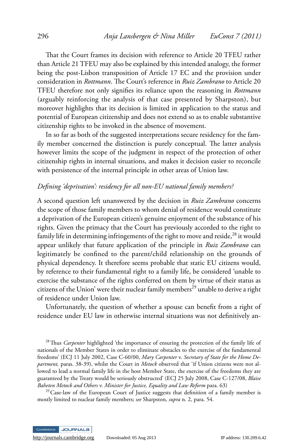That the Court frames its decision with reference to Article 20 TFEU rather than Article 21 TFEU may also be explained by this intended analogy, the former being the post-Lisbon transposition of Article 17 EC and the provision under consideration in *Rottmann*. The Court's reference in *Ruiz Zambrano* to Article 20 TFEU therefore not only signifies its reliance upon the reasoning in *Rottmann* (arguably reinforcing the analysis of that case presented by Sharpston), but moreover highlights that its decision is limited in application to the status and potential of European citizenship and does not extend so as to enable substantive citizenship rights to be invoked in the absence of movement.

In so far as both of the suggested interpretations secure residency for the family member concerned the distinction is purely conceptual. The latter analysis however limits the scope of the judgment in respect of the protection of other citizenship rights in internal situations, and makes it decision easier to reconcile with persistence of the internal principle in other areas of Union law.

### *Defi ning 'deprivation': residency for all non-EU national family members?*

A second question left unanswered by the decision in *Ruiz Zambrano* concerns the scope of those family members to whom denial of residence would constitute a deprivation of the European citizen's genuine enjoyment of the substance of his rights. Given the primacy that the Court has previously accorded to the right to family life in determining infringements of the right to move and reside, $^{28}$  it would appear unlikely that future application of the principle in *Ruiz Zambrano* can legitimately be confined to the parent/child relationship on the grounds of physical dependency. It therefore seems probable that static EU citizens would, by reference to their fundamental right to a family life, be considered 'unable to exercise the substance of the rights conferred on them by virtue of their status as citizens of the Union' were their nuclear family members<sup>29</sup> unable to derive a right of residence under Union law.

Unfortunately, the question of whether a spouse can benefit from a right of residence under EU law in otherwise internal situations was not definitively an-

<sup>28</sup> Thus *Carpenter* highlighted 'the importance of ensuring the protection of the family life of nationals of the Member States in order to eliminate obstacles to the exercise of the fundamental freedoms' (ECJ 11 July 2002, Case C-60/00, *Mary Carpenter* v. *Secretary of State for the Home Department,* paras. 38-39), whilst the Court in *Metock* observed that 'if Union citizens were not allowed to lead a normal family life in the host Member State, the exercise of the freedoms they are guaranteed by the Treaty would be seriously obstructed' (ECJ 25 July 2008, Case C-127/08, *Blaise Baheten Metock and Others* v. *Minister for Justice, Equality and Law Reform* para. 63)

 $29$  Case-law of the European Court of Justice suggests that definition of a family member is mostly limited to nuclear family members; *see* Sharpston, *supra* n. 2, para. 54.

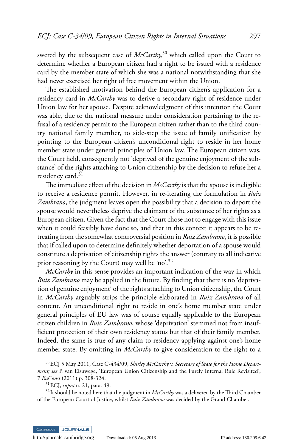swered by the subsequent case of *McCarthy*,<sup>30</sup> which called upon the Court to determine whether a European citizen had a right to be issued with a residence card by the member state of which she was a national notwithstanding that she had never exercised her right of free movement within the Union.

The established motivation behind the European citizen's application for a residency card in *McCarthy* was to derive a secondary right of residence under Union law for her spouse. Despite acknowledgment of this intention the Court was able, due to the national measure under consideration pertaining to the refusal of a residency permit to the European citizen rather than to the third country national family member, to side-step the issue of family unification by pointing to the European citizen's unconditional right to reside in her home member state under general principles of Union law. The European citizen was, the Court held, consequently not 'deprived of the genuine enjoyment of the substance' of the rights attaching to Union citizenship by the decision to refuse her a residency card.<sup>31</sup>

The immediate effect of the decision in *McCarthy* is that the spouse is ineligible to receive a residence permit. However, in re-iterating the formulation in *Ruiz Zambrano*, the judgment leaves open the possibility that a decision to deport the spouse would nevertheless deprive the claimant of the substance of her rights as a European citizen. Given the fact that the Court chose not to engage with this issue when it could feasibly have done so, and that in this context it appears to be retreating from the somewhat controversial position in *Ruiz Zambrano*, it is possible that if called upon to determine definitely whether deportation of a spouse would constitute a deprivation of citizenship rights the answer (contrary to all indicative prior reasoning by the Court) may well be 'no'.<sup>32</sup>

*McCarthy* in this sense provides an important indication of the way in which *Ruiz Zambrano* may be applied in the future. By finding that there is no 'deprivation of genuine enjoyment' of the rights attaching to Union citizenship, the Court in *McCarthy* arguably strips the principle elaborated in *Ruiz Zambrano* of all content. An unconditional right to reside in one's home member state under general principles of EU law was of course equally applicable to the European citizen children in *Ruiz Zambrano*, whose 'deprivation' stemmed not from insufficient protection of their own residency status but that of their family member. Indeed, the same is true of any claim to residency applying against one's home member state. By omitting in *McCarthy* to give consideration to the right to a

30 ECJ 5 May 2011, Case C-434/09, *Shirley McCarthy* v. *Secretary of State for the Home Department; see* P. van Elsuwege, 'European Union Citizenship and the Purely Internal Rule Revisited', 7 *EuConst* (2011) p. 308-324.

31 ECJ, *supra* n. 21, para. 49.

<sup>32</sup> It should be noted here that the judgment in *McCarthy* was a delivered by the Third Chamber of the European Court of Justice, whilst *Ruiz Zambrano* was decided by the Grand Chamber.

JOURNALS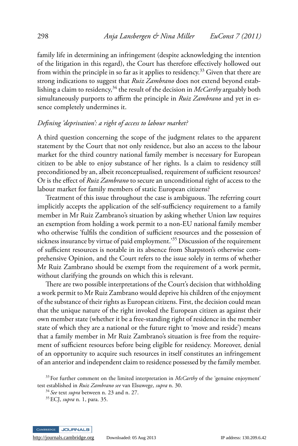family life in determining an infringement (despite acknowledging the intention of the litigation in this regard), the Court has therefore effectively hollowed out from within the principle in so far as it applies to residency.<sup>33</sup> Given that there are strong indications to suggest that *Ruiz Zambrano* does not extend beyond establishing a claim to residency,34 the result of the decision in *McCarthy* arguably both simultaneously purports to affirm the principle in *Ruiz Zambrano* and yet in essence completely undermines it.

### *Defining 'deprivation': a right of access to labour market?*

A third question concerning the scope of the judgment relates to the apparent statement by the Court that not only residence, but also an access to the labour market for the third country national family member is necessary for European citizen to be able to enjoy substance of her rights. Is a claim to residency still preconditioned by an, albeit reconceptualised, requirement of sufficient resources? Or is the effect of *Ruiz Zambrano* to secure an unconditional right of access to the labour market for family members of static European citizens?

Treatment of this issue throughout the case is ambiguous. The referring court implicitly accepts the application of the self-sufficiency requirement to a family member in Mr Ruiz Zambrano's situation by asking whether Union law requires an exemption from holding a work permit to a non-EU national family member who otherwise 'fulfils the condition of sufficient resources and the possession of sickness insurance by virtue of paid employment.<sup>35</sup> Discussion of the requirement of sufficient resources is notable in its absence from Sharpston's otherwise comprehensive Opinion, and the Court refers to the issue solely in terms of whether Mr Ruiz Zambrano should be exempt from the requirement of a work permit, without clarifying the grounds on which this is relevant.

There are two possible interpretations of the Court's decision that withholding a work permit to Mr Ruiz Zambrano would deprive his children of the enjoyment of the substance of their rights as European citizens. First, the decision could mean that the unique nature of the right invoked the European citizen as against their own member state (whether it be a free-standing right of residence in the member state of which they are a national or the future right to 'move and reside') means that a family member in Mr Ruiz Zambrano's situation is free from the requirement of sufficient resources before being eligible for residency. Moreover, denial of an opportunity to acquire such resources in itself constitutes an infringement of an anterior and independent claim to residence possessed by the family member.



<sup>&</sup>lt;sup>33</sup> For further comment on the limited interpretation in *McCarthy* of the 'genuine enjoyment' test established in *Ruiz Zambrano see* van Elsuwege, *supra* n. 30.

<sup>34</sup> *See* text *supra* between n. 23 and n. 27.

<sup>35</sup> ECJ, *supra* n. 1, para. 35.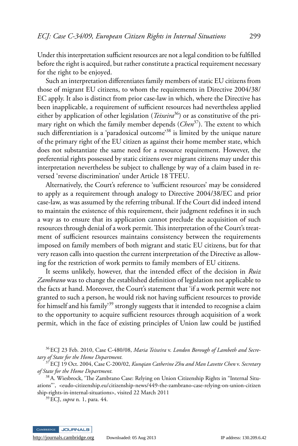Under this interpretation sufficient resources are not a legal condition to be fulfilled before the right is acquired, but rather constitute a practical requirement necessary for the right to be enjoyed.

Such an interpretation differentiates family members of static EU citizens from those of migrant EU citizens, to whom the requirements in Directive 2004/38/ EC apply. It also is distinct from prior case-law in which, where the Directive has been inapplicable, a requirement of sufficient resources had nevertheless applied either by application of other legislation (*Teixeira*<sup>36</sup>) or as constitutive of the primary right on which the family member depends (*Chen*<sup>37</sup>). The extent to which such differentiation is a 'paradoxical outcome'<sup>38</sup> is limited by the unique nature of the primary right of the EU citizen as against their home member state, which does not substantiate the same need for a resource requirement. However, the preferential rights possessed by static citizens over migrant citizens may under this interpretation nevertheless be subject to challenge by way of a claim based in reversed 'reverse discrimination' under Article 18 TFEU.

Alternatively, the Court's reference to 'sufficient resources' may be considered to apply as a requirement through analogy to Directive 2004/38/EC and prior case-law, as was assumed by the referring tribunal. If the Court did indeed intend to maintain the existence of this requirement, their judgment redefines it in such a way as to ensure that its application cannot preclude the acquisition of such resources through denial of a work permit. This interpretation of the Court's treatment of sufficient resources maintains consistency between the requirements imposed on family members of both migrant and static EU citizens, but for that very reason calls into question the current interpretation of the Directive as allowing for the restriction of work permits to family members of EU citizens.

It seems unlikely, however, that the intended effect of the decision in *Ruiz* Zambrano was to change the established definition of legislation not applicable to the facts at hand. Moreover, the Court's statement that 'if a work permit were not granted to such a person, he would risk not having sufficient resources to provide for himself and his family'39 strongly suggests that it intended to recognise a claim to the opportunity to acquire sufficient resources through acquisition of a work permit, which in the face of existing principles of Union law could be justified



<sup>36</sup> ECJ 23 Feb. 2010, Case C-480/08, *Maria Teixeira* v. *London Borough of Lambeth and Secretary of State for the Home Department.*

<sup>37</sup> ECJ 19 Oct. 2004, Case C-200/02, *Kunqian Catherine Zhu and Man Lavette Chen* v. *Secretary of State for the Home Department.*

<sup>38</sup> A. Wiesbrock, 'The Zambrano Case: Relying on Union Citizenship Rights in "Internal Situations"', <eudo-citizenship.eu/citizenship-news/449-the-zambrano-case-relying-on-union-citizen ship-rights-in-internal-situations>, visited 22 March 2011

<sup>39</sup> ECJ, *supra* n. 1, para. 44.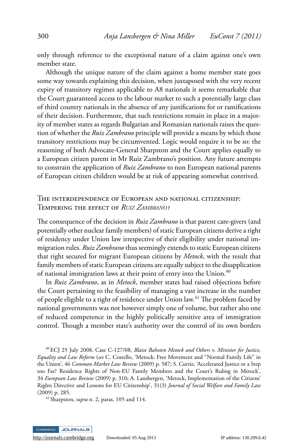only through reference to the exceptional nature of a claim against one's own member state.

Although the unique nature of the claim against a home member state goes some way towards explaining this decision, when juxtaposed with the very recent expiry of transitory regimes applicable to A8 nationals it seems remarkable that the Court guaranteed access to the labour market to such a potentially large class of third country nationals in the absence of any justifications for or ramifications of their decision. Furthermore, that such restrictions remain in place in a majority of member states as regards Bulgarian and Romanian nationals raises the question of whether the *Ruiz Zambrano* principle will provide a means by which those transitory restrictions may be circumvented. Logic would require it to be so: the reasoning of both Advocate-General Sharpston and the Court applies equally to a European citizen parent in Mr Ruiz Zambrano's position. Any future attempts to constrain the application of *Ruiz Zambrano* to non European national parents of European citizen children would be at risk of appearing somewhat contrived.

## The interdependence of European and national citizenship: Tempering the effect of *RUIZ ZAMBRANO* ?

The consequence of the decision in *Ruiz Zambrano* is that parent care-givers (and potentially other nuclear family members) of static European citizens derive a right of residency under Union law irrespective of their eligibility under national immigration rules. *Ruiz Zambrano* thus seemingly extends to static European citizens that right secured for migrant European citizens by *Metock*, with the result that family members of static European citizens are equally subject to the disapplication of national immigration laws at their point of entry into the Union.<sup>40</sup>

In *Ruiz Zambrano*, as in *Metock*, member states had raised objections before the Court pertaining to the feasibility of managing a vast increase in the number of people eligible to a right of residence under Union law.<sup>41</sup> The problem faced by national governments was not however simply one of volume, but rather also one of reduced competence in the highly politically sensitive area of immigration control. Though a member state's authority over the control of its own borders

40 ECJ 25 July 2008, Case C-127/08, *Blaise Baheten Metock and Others* v. *Minister for Justice, Equality and Law Reform* (*see* C. Costello, 'Metock: Free Movement and "Normal Family Life" in the Union', 46 *Common Market Law Review* (2009) p. 587; S. Currie, 'Accelerated Justice or a Step too Far? Residence Rights of Non-EU Family Members and the Court's Ruling in Metock', 34 *European Law Review* (2009) p. 310; A. Lansbergen, 'Metock, Implementation of the Citizens' Rights Directive and Lessons for EU Citizenship', 31(3) *Journal of Social Welfare and Family Law* (2009) p. 285.

41 Sharpston, *supra* n. 2, paras. 105 and 114.

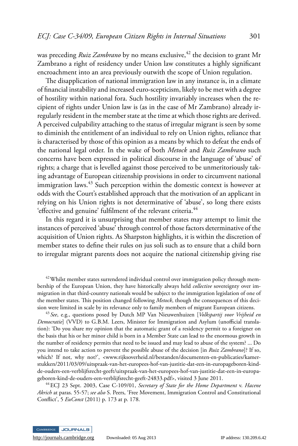was preceding *Ruiz Zambrano* by no means exclusive,<sup>42</sup> the decision to grant Mr Zambrano a right of residency under Union law constitutes a highly significant encroachment into an area previously outwith the scope of Union regulation.

The disapplication of national immigration law in any instance is, in a climate of financial instability and increased euro-scepticism, likely to be met with a degree of hostility within national fora. Such hostility invariably increases when the recipient of rights under Union law is (as in the case of Mr Zambrano) already irregularly resident in the member state at the time at which those rights are derived. A perceived culpability attaching to the status of irregular migrant is seen by some to diminish the entitlement of an individual to rely on Union rights, reliance that is characterised by those of this opinion as a means by which to defeat the ends of the national legal order. In the wake of both *Metock* and *Ruiz Zambrano* such concerns have been expressed in political discourse in the language of 'abuse' of rights; a charge that is levelled against those perceived to be unmeritoriously taking advantage of European citizenship provisions in order to circumvent national immigration laws.<sup>43</sup> Such perception within the domestic context is however at odds with the Court's established approach that the motivation of an applicant in relying on his Union rights is not determinative of 'abuse', so long there exists 'effective and genuine' fulfilment of the relevant criteria.<sup>44</sup>

In this regard it is unsurprising that member states may attempt to limit the instances of perceived 'abuse' through control of those factors determinative of the acquisition of Union rights. As Sharpston highlights, it is within the discretion of member states to define their rules on jus soli such as to ensure that a child born to irregular migrant parents does not acquire the national citizenship giving rise

 $42$  Whilst member states surrendered individual control over immigration policy through membership of the European Union, they have historically always held *collective* sovereignty over immigration in that third-country nationals would be subject to the immigration legislation of one of the member states. This position changed following *Metock*, though the consequences of this decision were limited in scale by its relevance only to family members of migrant European citizens.

<sup>43</sup> *See*, e.g., questions posed by Dutch MP Van Nieuwenhuizen [*Volkspartij voor Vrijheid en Democratie*] (VVD) to G.B.M. Leers, Minister for Immigration and Asylum (unofficial translation): 'Do you share my opinion that the automatic grant of a residency permit to a foreigner on the basis that his or her minor child is born in a Member State can lead to the enormous growth in the number of residency permits that need to be issued and may lead to abuse of the system? ... Do you intend to take action to prevent the possible abuse of the decision [in *Ruiz Zambrano*]? If so, which? If not, why not?', <www.rijksoverheid.nl/bestanden/documenten-en-publicaties/kamerstukken/2011/03/09/uitspraak-van-het-europees-hof-van-justitie-dat-een-in-europageboren-kindde-ouders-een-verblijfsrecht-geeft/uitspraak-van-het-europees-hof-van-justitie-dat-een-in-europageboren-kind-de-ouders-een-verblijfsrecht-geeft-24833.pdf>, visited 3 June 2011.

44 ECJ 23 Sept. 2003, Case C-109/01, *Secretary of State for the Home Department* v. *Hacene Akrich* at paras. 55-57; *see also* S. Peers, 'Free Movement, Immigration Control and Constitutional Conflict', 5 *EuConst* (2011) p. 173 at p. 178.

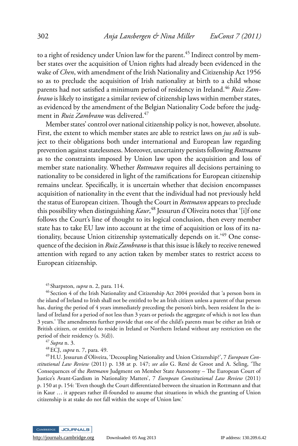to a right of residency under Union law for the parent.<sup>45</sup> Indirect control by member states over the acquisition of Union rights had already been evidenced in the wake of *Chen*, with amendment of the Irish Nationality and Citizenship Act 1956 so as to preclude the acquisition of Irish nationality at birth to a child whose parents had not satisfied a minimum period of residency in Ireland.<sup>46</sup> Ruiz Zam*brano* is likely to instigate a similar review of citizenship laws within member states, as evidenced by the amendment of the Belgian Nationality Code before the judgment in *Ruiz Zambrano* was delivered.47

Member states' control over national citizenship policy is not, however, absolute. First, the extent to which member states are able to restrict laws on *jus soli* is subject to their obligations both under international and European law regarding prevention against statelessness. Moreover, uncertainty persists following *Rottmann* as to the constraints imposed by Union law upon the acquisition and loss of member state nationality. Whether *Rottmann* requires all decisions pertaining to nationality to be considered in light of the ramifications for European citizenship remains unclear. Specifically, it is uncertain whether that decision encompasses acquisition of nationality in the event that the individual had not previously held the status of European citizen. Though the Court in *Rottmann* appears to preclude this possibility when distinguishing *Kaur*, 48 Jessurun d'Oliveira notes that '[i]f one follows the Court's line of thought to its logical conclusion, then every member state has to take EU law into account at the time of acquisition or loss of its nationality, because Union citizenship systematically depends on it.<sup>'49</sup> One consequence of the decision in *Ruiz Zambrano* is that this issue is likely to receive renewed attention with regard to any action taken by member states to restrict access to European citizenship.

45 Sharpston, *supra* n. 2, para. 114.

46 Section 4 of the Irish Nationality and Citizenship Act 2004 provided that 'a person born in the island of Ireland to Irish shall not be entitled to be an Irish citizen unless a parent of that person has, during the period of 4 years immediately preceding the person's birth, been resident In the island of Ireland for a period of not less than 3 years or periods the aggregate of which is not less than 3 years.' The amendments further provide that one of the child's parents must be either an Irish or British citizen, or entitled to reside in Ireland or Northern Ireland without any restriction on the period of their residency (s. 3(d)).

<sup>47</sup> *Supra* n. 3.

48 ECJ, *supra* n. 7, para. 49.

49 H.U. Jessurun d'Oliveira, 'Decoupling Nationality and Union Citizenship?', 7 *European Constitutional Law Review* (2011) p. 138 at p. 147; *see also* G. René de Groot and A. Seling, 'The Consequences of the *Rottmann* Judgment on Member State Autonomy – The European Court of Justice's Avant-Gardism in Nationality Matters', 7 *European Constitutional Law Review* (2011) p. 150 at p. 154: 'Even though the Court differentiated between the situation in Rottmann and that in Kaur … it appears rather ill-founded to assume that situations in which the granting of Union citizenship is at stake do not fall within the scope of Union law.'

**JOURNALS**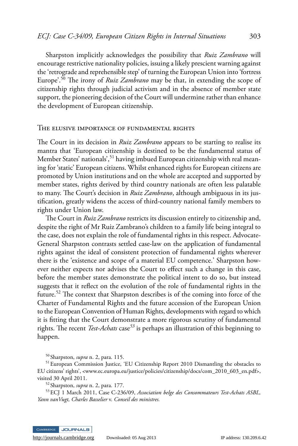Sharpston implicitly acknowledges the possibility that *Ruiz Zambrano* will encourage restrictive nationality policies, issuing a likely prescient warning against the 'retrograde and reprehensible step' of turning the European Union into 'fortress Europe'.<sup>50</sup> The irony of *Ruiz Zambrano* may be that, in extending the scope of citizenship rights through judicial activism and in the absence of member state support, the pioneering decision of the Court will undermine rather than enhance the development of European citizenship.

#### The elusive importance of fundamental rights

The Court in its decision in *Ruiz Zambrano* appears to be starting to realise its mantra that 'European citizenship is destined to be the fundamental status of Member States' nationals',<sup>51</sup> having imbued European citizenship with real meaning for 'static' European citizens. Whilst enhanced rights for European citizens are promoted by Union institutions and on the whole are accepted and supported by member states, rights derived by third country nationals are often less palatable to many. The Court's decision in *Ruiz Zambrano*, although ambiguous in its justification, greatly widens the access of third-country national family members to rights under Union law.

The Court in *Ruiz Zambrano* restricts its discussion entirely to citizenship and, despite the right of Mr Ruiz Zambrano's children to a family life being integral to the case, does not explain the role of fundamental rights in this respect. Advocate-General Sharpston contrasts settled case-law on the application of fundamental rights against the ideal of consistent protection of fundamental rights wherever there is the 'existence and scope of a material EU competence.' Sharpston however neither expects nor advises the Court to effect such a change in this case, before the member states demonstrate the political intent to do so, but instead suggests that it reflect on the evolution of the role of fundamental rights in the future.<sup>52</sup> The context that Sharpston describes is of the coming into force of the Charter of Fundamental Rights and the future accession of the European Union to the European Convention of Human Rights, developments with regard to which it is fitting that the Court demonstrate a more rigorous scrutiny of fundamental rights. The recent *Test-Achats* case<sup>53</sup> is perhaps an illustration of this beginning to happen.

50 Sharpston, *supra* n. 2, para. 115.

<sup>51</sup> European Commission Justice, 'EU Citizenship Report 2010 Dismantling the obstacles to EU citizens' rights', <www.ec.europa.eu/justice/policies/citizenship/docs/com\_2010\_603\_en.pdf>, visited 30 April 2011. 52 Sharpston, *supra* n. 2, para. 177.

53 ECJ 1 March 2011, Case C-236/09, *Association belge des Consommateurs Test-Achats ASBL, Yann vanVugt, Charles Basselier* v. *Conseil des ministres.* 

JOURNALS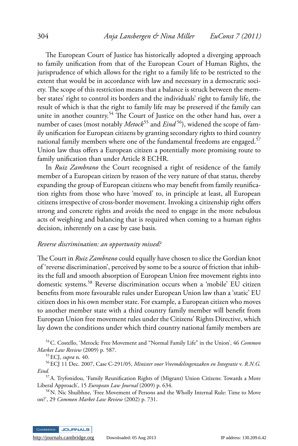The European Court of Justice has historically adopted a diverging approach to family unification from that of the European Court of Human Rights, the jurisprudence of which allows for the right to a family life to be restricted to the extent that would be in accordance with law and necessary in a democratic society. The scope of this restriction means that a balance is struck between the member states' right to control its borders and the individuals' right to family life, the result of which is that the right to family life may be preserved if the family can unite in another country.<sup>54</sup> The Court of Justice on the other hand has, over a number of cases (most notably *Metock*<sup>55</sup> and *Eind*<sup>56</sup>), widened the scope of family unification for European citizens by granting secondary rights to third country national family members where one of the fundamental freedoms are engaged.<sup>57</sup> Union law thus offers a European citizen a potentially more promising route to family unification than under Article 8 ECHR.

In *Ruiz Zambrano* the Court recognised a right of residence of the family member of a European citizen by reason of the very nature of that status, thereby expanding the group of European citizens who may benefit from family reunification rights from those who have 'moved' to, in principle at least, all European citizens irrespective of cross-border movement. Invoking a citizenship right offers strong and concrete rights and avoids the need to engage in the more nebulous acts of weighing and balancing that is required when coming to a human rights decision, inherently on a case by case basis.

#### *Reverse discrimination: an opportunity missed?*

The Court in *Ruiz Zambrano* could equally have chosen to slice the Gordian knot of 'reverse discrimination', perceived by some to be a source of friction that inhibits the full and smooth absorption of European Union free movement rights into domestic systems.58 Reverse discrimination occurs when a 'mobile' EU citizen benefits from more favourable rules under European Union law than a 'static' EU citizen does in his own member state. For example, a European citizen who moves to another member state with a third country family member will benefit from European Union free movement rules under the Citizens' Rights Directive, which lay down the conditions under which third country national family members are

54 C. Costello, 'Metock: Free Movement and "Normal Family Life" in the Union', 46 *Common Market Law Review* (2009) p. 587. 55 ECJ, *supra* n. 40.

56 ECJ 11 Dec. 2007, Case C-291/05, *Minister voor Vreemdelingenzaken en Integratie* v. *R.N.G. Eind.*

 $57$  A. Tryfonidou, 'Family Reunification Rights of (Migrant) Union Citizens: Towards a More Liberal Approach', 15 *European Law Journal* (2009) p. 634. 58 N. Nic Shuibhne, 'Free Movement of Persons and the Wholly Internal Rule: Time to Move

on?', 29 *Common Market Law Review* (2002) p. 731.

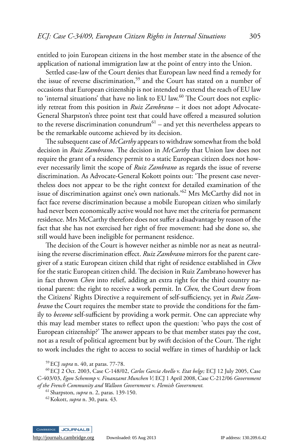entitled to join European citizens in the host member state in the absence of the application of national immigration law at the point of entry into the Union.

Settled case-law of the Court denies that European law need find a remedy for the issue of reverse discrimination,<sup>59</sup> and the Court has stated on a number of occasions that European citizenship is not intended to extend the reach of EU law to 'internal situations' that have no link to EU law.<sup>60</sup> The Court does not explicitly retreat from this position in *Ruiz Zambrano* – it does not adopt Advocate-General Sharpston's three point test that could have offered a measured solution to the reverse discrimination conundrum<sup>61</sup> – and yet this nevertheless appears to be the remarkable outcome achieved by its decision.

The subsequent case of *McCarthy* appears to withdraw somewhat from the bold decision in *Ruiz Zambrano*. The decision in *McCarthy* that Union law does not require the grant of a residency permit to a static European citizen does not however necessarily limit the scope of *Ruiz Zambrano* as regards the issue of reverse discrimination. As Advocate-General Kokott points out: 'The present case nevertheless does not appear to be the right context for detailed examination of the issue of discrimination against one's own nationals.'<sup>62</sup> Mrs McCarthy did not in fact face reverse discrimination because a mobile European citizen who similarly had never been economically active would not have met the criteria for permanent residence. Mrs McCarthy therefore does not suffer a disadvantage by reason of the fact that she has not exercised her right of free movement: had she done so, she still would have been ineligible for permanent residence.

The decision of the Court is however neither as nimble nor as neat as neutralising the reverse discrimination effect. *Ruiz Zambrano* mirrors for the parent caregiver of a static European citizen child that right of residence established in *Chen* for the static European citizen child. The decision in Ruiz Zambrano however has in fact thrown *Chen* into relief, adding an extra right for the third country national parent: the right to receive a work permit. In *Chen,* the Court drew from the Citizens' Rights Directive a requirement of self-sufficiency, yet in *Ruiz Zambrano* the Court requires the member state to provide the conditions for the family to *become* self-sufficient by providing a work permit. One can appreciate why this may lead member states to reflect upon the question: 'who pays the cost of European citizenship?' The answer appears to be that member states pay the cost, not as a result of political agreement but by swift decision of the Court. The right to work includes the right to access to social welfare in times of hardship or lack

59 ECJ *supra* n. 40, at paras. 77-78.

60 ECJ 2 Oct. 2003, Case C-148/02, *Carlos Garcia Avello* v. *Etat belge;* ECJ 12 July 2005, Case C-403/03, *Egon Schemmp* v. *Finanzamt Munchen V;* ECJ 1 April 2008, Case C-212/06 *Government of the French Community and Walloon Government* v. *Flemish Government.* 

61 Sharpston, *supra* n. 2, paras. 139-150. 62 Kokott, *supra* n. 30, para. 43.

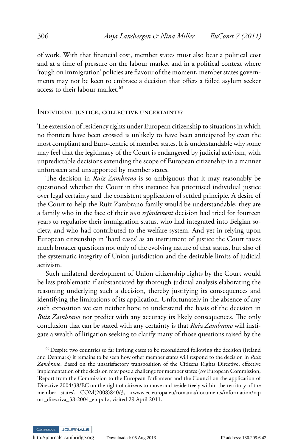of work. With that financial cost, member states must also bear a political cost and at a time of pressure on the labour market and in a political context where 'tough on immigration' policies are flavour of the moment, member states governments may not be keen to embrace a decision that offers a failed asylum seeker access to their labour market.<sup>63</sup>

#### Individual justice, collective uncertainty?

The extension of residency rights under European citizenship to situations in which no frontiers have been crossed is unlikely to have been anticipated by even the most compliant and Euro-centric of member states. It is understandable why some may feel that the legitimacy of the Court is endangered by judicial activism, with unpredictable decisions extending the scope of European citizenship in a manner unforeseen and unsupported by member states.

The decision in *Ruiz Zambrano* is so ambiguous that it may reasonably be questioned whether the Court in this instance has prioritised individual justice over legal certainty and the consistent application of settled principle. A desire of the Court to help the Ruiz Zambrano family would be understandable; they are a family who in the face of their *non refoulement* decision had tried for fourteen years to regularise their immigration status, who had integrated into Belgian society, and who had contributed to the welfare system. And yet in relying upon European citizenship in 'hard cases' as an instrument of justice the Court raises much broader questions not only of the evolving nature of that status, but also of the systematic integrity of Union jurisdiction and the desirable limits of judicial activism.

Such unilateral development of Union citizenship rights by the Court would be less problematic if substantiated by thorough judicial analysis elaborating the reasoning underlying such a decision, thereby justifying its consequences and identifying the limitations of its application. Unfortunately in the absence of any such exposition we can neither hope to understand the basis of the decision in *Ruiz Zambrano* nor predict with any accuracy its likely consequences. The only conclusion that can be stated with any certainty is that *Ruiz Zambrano* will instigate a wealth of litigation seeking to clarify many of those questions raised by the

 $^{63}$  Despite two countries so far inviting cases to be reconsidered following the decision (Ireland and Denmark) it remains to be seen how other member states will respond to the decision in *Ruiz*  Zambrano. Based on the unsatisfactory transposition of the Citizens Rights Directive, effective implementation of the decision may pose a challenge for member states (*see* European Commission, 'Report from the Commission to the European Parliament and the Council on the application of Directive 2004/38/EC on the right of citizens to move and reside freely within the territory of the member states', COM(2008)840/3, <www.ec.europa.eu/romania/documents/information/rap ort\_directiva\_38-2004\_en.pdf>, visited 29 April 2011.